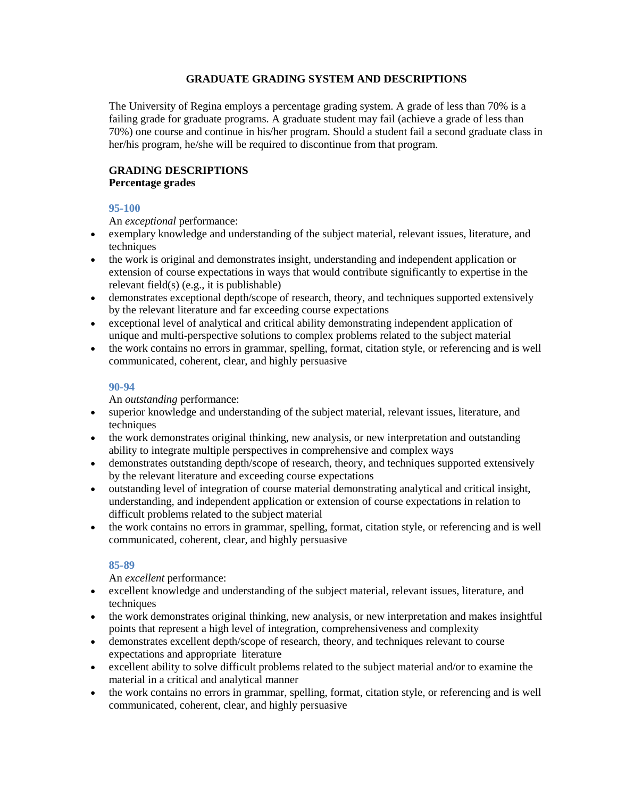# **GRADUATE GRADING SYSTEM AND DESCRIPTIONS**

The University of Regina employs a percentage grading system. A grade of less than 70% is a failing grade for graduate programs. A graduate student may fail (achieve a grade of less than 70%) one course and continue in his/her program. Should a student fail a second graduate class in her/his program, he/she will be required to discontinue from that program.

# **GRADING DESCRIPTIONS Percentage grades**

# **95-100**

An *exceptional* performance:

- exemplary knowledge and understanding of the subject material, relevant issues, literature, and techniques
- the work is original and demonstrates insight, understanding and independent application or extension of course expectations in ways that would contribute significantly to expertise in the relevant field(s) (e.g., it is publishable)
- demonstrates exceptional depth/scope of research, theory, and techniques supported extensively by the relevant literature and far exceeding course expectations
- exceptional level of analytical and critical ability demonstrating independent application of unique and multi-perspective solutions to complex problems related to the subject material
- the work contains no errors in grammar, spelling, format, citation style, or referencing and is well communicated, coherent, clear, and highly persuasive

# **90-94**

An *outstanding* performance:

- superior knowledge and understanding of the subject material, relevant issues, literature, and techniques
- the work demonstrates original thinking, new analysis, or new interpretation and outstanding ability to integrate multiple perspectives in comprehensive and complex ways
- demonstrates outstanding depth/scope of research, theory, and techniques supported extensively by the relevant literature and exceeding course expectations
- outstanding level of integration of course material demonstrating analytical and critical insight, understanding, and independent application or extension of course expectations in relation to difficult problems related to the subject material
- the work contains no errors in grammar, spelling, format, citation style, or referencing and is well communicated, coherent, clear, and highly persuasive

# **85-89**

An *excellent* performance:

- excellent knowledge and understanding of the subject material, relevant issues, literature, and techniques
- the work demonstrates original thinking, new analysis, or new interpretation and makes insightful points that represent a high level of integration, comprehensiveness and complexity
- demonstrates excellent depth/scope of research, theory, and techniques relevant to course expectations and appropriate literature
- excellent ability to solve difficult problems related to the subject material and/or to examine the material in a critical and analytical manner
- the work contains no errors in grammar, spelling, format, citation style, or referencing and is well communicated, coherent, clear, and highly persuasive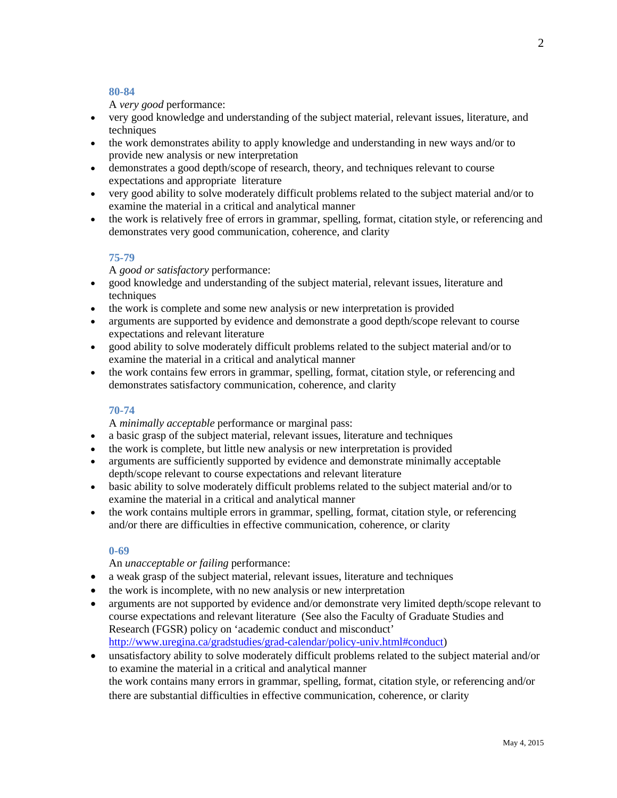#### **80-84**

A *very good* performance:

- very good knowledge and understanding of the subject material, relevant issues, literature, and techniques
- the work demonstrates ability to apply knowledge and understanding in new ways and/or to provide new analysis or new interpretation
- demonstrates a good depth/scope of research, theory, and techniques relevant to course expectations and appropriate literature
- very good ability to solve moderately difficult problems related to the subject material and/or to examine the material in a critical and analytical manner
- the work is relatively free of errors in grammar, spelling, format, citation style, or referencing and demonstrates very good communication, coherence, and clarity

#### **75-79**

A *good or satisfactory* performance:

- good knowledge and understanding of the subject material, relevant issues, literature and techniques
- the work is complete and some new analysis or new interpretation is provided
- arguments are supported by evidence and demonstrate a good depth/scope relevant to course expectations and relevant literature
- good ability to solve moderately difficult problems related to the subject material and/or to examine the material in a critical and analytical manner
- the work contains few errors in grammar, spelling, format, citation style, or referencing and demonstrates satisfactory communication, coherence, and clarity

# **70-74**

A *minimally acceptable* performance or marginal pass:

- a basic grasp of the subject material, relevant issues, literature and techniques
- the work is complete, but little new analysis or new interpretation is provided
- arguments are sufficiently supported by evidence and demonstrate minimally acceptable depth/scope relevant to course expectations and relevant literature
- basic ability to solve moderately difficult problems related to the subject material and/or to examine the material in a critical and analytical manner
- the work contains multiple errors in grammar, spelling, format, citation style, or referencing and/or there are difficulties in effective communication, coherence, or clarity

# **0-69**

# An *unacceptable or failing* performance:

- a weak grasp of the subject material, relevant issues, literature and techniques
- the work is incomplete, with no new analysis or new interpretation
- arguments are not supported by evidence and/or demonstrate very limited depth/scope relevant to course expectations and relevant literature (See also the Faculty of Graduate Studies and Research (FGSR) policy on 'academic conduct and misconduct' [http://www.uregina.ca/gradstudies/grad-calendar/policy-univ.html#conduct\)](http://www.uregina.ca/gradstudies/grad-calendar/policy-univ.html%23conduct)
- unsatisfactory ability to solve moderately difficult problems related to the subject material and/or to examine the material in a critical and analytical manner the work contains many errors in grammar, spelling, format, citation style, or referencing and/or there are substantial difficulties in effective communication, coherence, or clarity